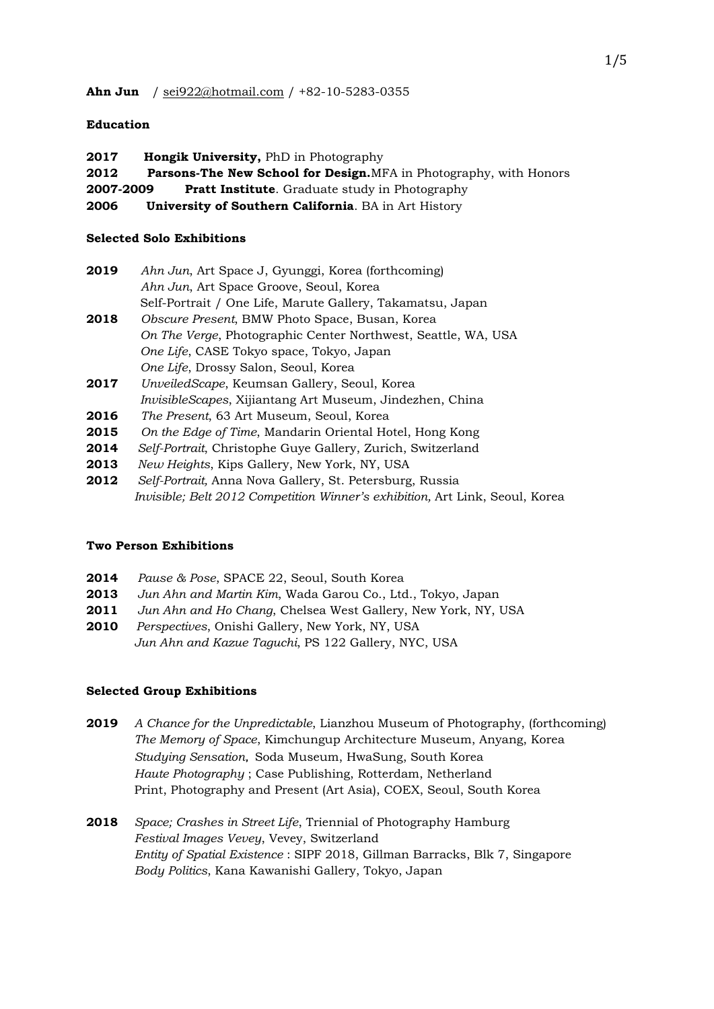# **Education**

**2017 Hongik University,** PhD in Photography **2012 Parsons-The New School for Design.**MFA in Photography, with Honors **2007-2009 Pratt Institute**. Graduate study in Photography **2006 University of Southern California**. BA in Art History

# **Selected Solo Exhibitions**

| 2019 | Ahn Jun, Art Space J, Gyunggi, Korea (forthcoming)            |
|------|---------------------------------------------------------------|
|      | Ahn Jun, Art Space Groove, Seoul, Korea                       |
|      | Self-Portrait / One Life, Marute Gallery, Takamatsu, Japan    |
| 2018 | Obscure Present, BMW Photo Space, Busan, Korea                |
|      | On The Verge, Photographic Center Northwest, Seattle, WA, USA |
|      | One Life, CASE Tokyo space, Tokyo, Japan                      |
|      | One Life, Drossy Salon, Seoul, Korea                          |

- **2017** *UnveiledScape*, Keumsan Gallery, Seoul, Korea *InvisibleScapes*, Xijiantang Art Museum, Jindezhen, China
- **2016** *The Present*, 63 Art Museum, Seoul, Korea
- **2015** *On the Edge of Time*, Mandarin Oriental Hotel, Hong Kong
- **2014** *Self-Portrait*, Christophe Guye Gallery, Zurich, Switzerland
- **2013** *New Heights*, Kips Gallery, New York, NY, USA
- **2012** *Self-Portrait,* Anna Nova Gallery, St. Petersburg, Russia *Invisible; Belt 2012 Competition Winner's exhibition,* Art Link, Seoul, Korea

#### **Two Person Exhibitions**

- **2014** *Pause & Pose*, SPACE 22, Seoul, South Korea
- **2013** *Jun Ahn and Martin Kim*, Wada Garou Co., Ltd., Tokyo, Japan
- **2011** *Jun Ahn and Ho Chang*, Chelsea West Gallery, New York, NY, USA
- **2010** *Perspectives*, Onishi Gallery, New York, NY, USA *Jun Ahn and Kazue Taguchi*, PS 122 Gallery, NYC, USA

# **Selected Group Exhibitions**

- **2019** *A Chance for the Unpredictable*, Lianzhou Museum of Photography, (forthcoming) *The Memory of Space*, Kimchungup Architecture Museum, Anyang, Korea *Studying Sensation*, Soda Museum, HwaSung, South Korea *Haute Photography* ; Case Publishing, Rotterdam, Netherland Print, Photography and Present (Art Asia), COEX, Seoul, South Korea
- **2018** *Space; Crashes in Street Life*, Triennial of Photography Hamburg *Festival Images Vevey*, Vevey, Switzerland *Entity of Spatial Existence* : SIPF 2018, Gillman Barracks, Blk 7, Singapore *Body Politics*, Kana Kawanishi Gallery, Tokyo, Japan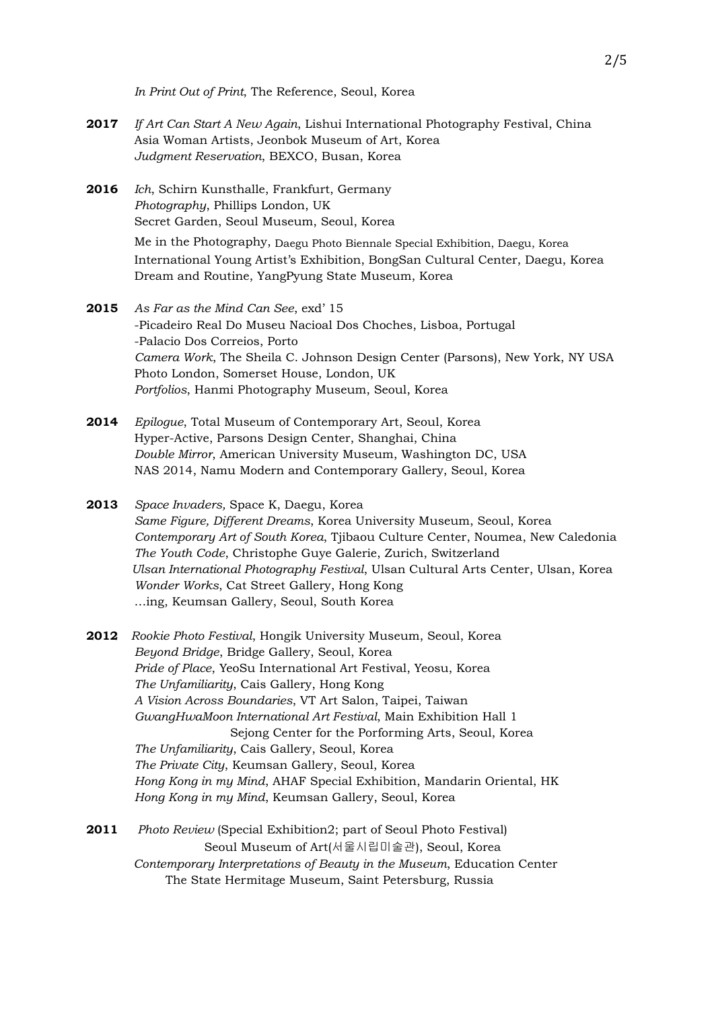*In Print Out of Print*, The Reference, Seoul, Korea

- **2017** *If Art Can Start A New Again*, Lishui International Photography Festival, China Asia Woman Artists, Jeonbok Museum of Art, Korea *Judgment Reservation*, BEXCO, Busan, Korea
- **2016** *Ich*, Schirn Kunsthalle, Frankfurt, Germany *Photography*, Phillips London, UK Secret Garden, Seoul Museum, Seoul, Korea

Me in the Photography, Daegu Photo Biennale Special Exhibition, Daegu, Korea International Young Artist's Exhibition, BongSan Cultural Center, Daegu, Korea Dream and Routine, YangPyung State Museum, Korea

- **2015** *As Far as the Mind Can See*, exd' 15 -Picadeiro Real Do Museu Nacioal Dos Choches, Lisboa, Portugal -Palacio Dos Correios, Porto *Camera Work*, The Sheila C. Johnson Design Center (Parsons), New York, NY USA Photo London, Somerset House, London, UK *Portfolios*, Hanmi Photography Museum, Seoul, Korea
- **2014** *Epilogue*, Total Museum of Contemporary Art, Seoul, Korea Hyper-Active, Parsons Design Center, Shanghai, China *Double Mirror*, American University Museum, Washington DC, USA NAS 2014, Namu Modern and Contemporary Gallery, Seoul, Korea
- **2013** *Space Invaders,* Space K, Daegu, Korea *Same Figure, Different Dreams*, Korea University Museum, Seoul, Korea *Contemporary Art of South Korea*, Tjibaou Culture Center, Noumea, New Caledonia *The Youth Code*, Christophe Guye Galerie, Zurich, Switzerland *Ulsan International Photography Festival*, Ulsan Cultural Arts Center, Ulsan, Korea *Wonder Works*, Cat Street Gallery, Hong Kong …ing, Keumsan Gallery, Seoul, South Korea
- **2012** *Rookie Photo Festival*, Hongik University Museum, Seoul, Korea  *Beyond Bridge*, Bridge Gallery, Seoul, Korea *Pride of Place*, YeoSu International Art Festival, Yeosu, Korea *The Unfamiliarity*, Cais Gallery, Hong Kong  *A Vision Across Boundaries*, VT Art Salon, Taipei, Taiwan *GwangHwaMoon International Art Festival*, Main Exhibition Hall 1 Sejong Center for the Porforming Arts, Seoul, Korea *The Unfamiliarity*, Cais Gallery, Seoul, Korea  *The Private City*, Keumsan Gallery, Seoul, Korea *Hong Kong in my Mind*, AHAF Special Exhibition, Mandarin Oriental, HK  *Hong Kong in my Mind*, Keumsan Gallery, Seoul, Korea
- **2011** *Photo Review* (Special Exhibition2; part of Seoul Photo Festival) Seoul Museum of Art(서울시립미술관), Seoul, Korea  *Contemporary Interpretations of Beauty in the Museum*, Education Center The State Hermitage Museum, Saint Petersburg, Russia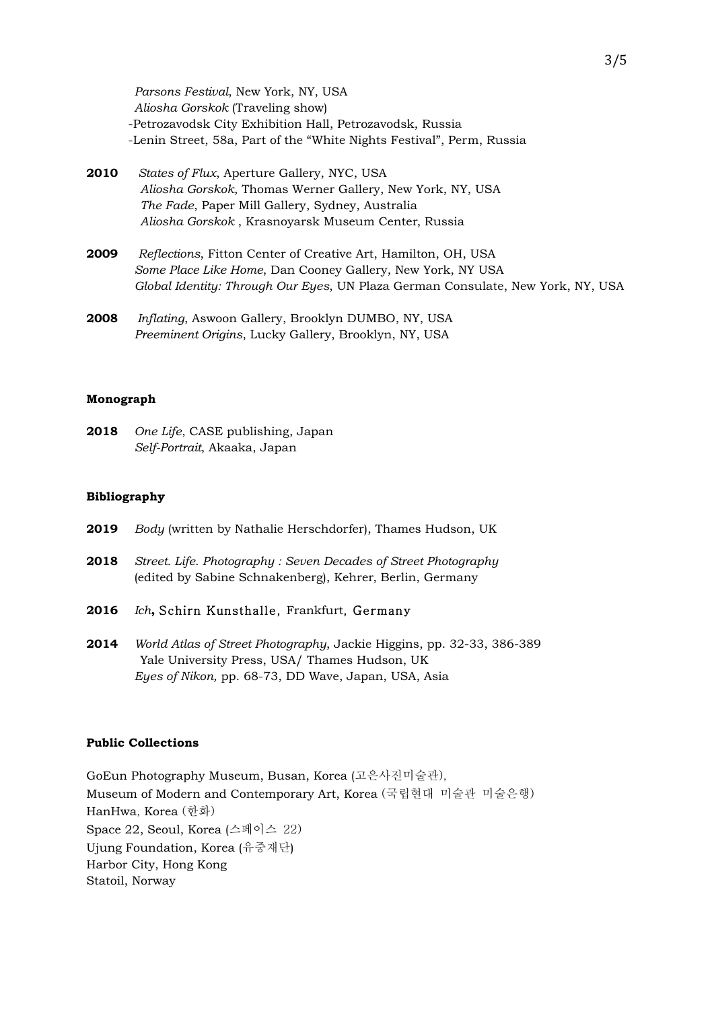*Parsons Festival*, New York, NY, USA *Aliosha Gorskok* (Traveling show) -Petrozavodsk City Exhibition Hall, Petrozavodsk, Russia -Lenin Street, 58a, Part of the "White Nights Festival", Perm, Russia

- **2010** *States of Flux*, Aperture Gallery, NYC, USA *Aliosha Gorskok*, Thomas Werner Gallery, New York, NY, USA *The Fade*, Paper Mill Gallery, Sydney, Australia  *Aliosha Gorskok* , Krasnoyarsk Museum Center, Russia
- **2009** *Reflections*, Fitton Center of Creative Art, Hamilton, OH, USA *Some Place Like Home*, Dan Cooney Gallery, New York, NY USA *Global Identity: Through Our Eyes*, UN Plaza German Consulate, New York, NY, USA
- **2008** *Inflating*, Aswoon Gallery, Brooklyn DUMBO, NY, USA *Preeminent Origins*, Lucky Gallery, Brooklyn, NY, USA

#### **Monograph**

**2018** *One Life*, CASE publishing, Japan *Self-Portrait*, Akaaka, Japan

#### **Bibliography**

- **2019** *Body* (written by Nathalie Herschdorfer), Thames Hudson, UK
- **2018** *Street. Life. Photography : Seven Decades of Street Photography* (edited by Sabine Schnakenberg), Kehrer, Berlin, Germany
- **2016** *Ich***,** Schirn Kunsthalle, Frankfurt, Germany
- **2014** *World Atlas of Street Photography*, Jackie Higgins, pp. 32-33, 386-389 Yale University Press, USA/ Thames Hudson, UK *Eyes of Nikon,* pp. 68-73, DD Wave, Japan, USA, Asia

### **Public Collections**

GoEun Photography Museum, Busan, Korea (고은사진미술관), Museum of Modern and Contemporary Art, Korea (국립현대 미술관 미술은행) HanHwa, Korea (한화) Space 22, Seoul, Korea (스페이스 22) Ujung Foundation, Korea (유중재단) Harbor City, Hong Kong Statoil, Norway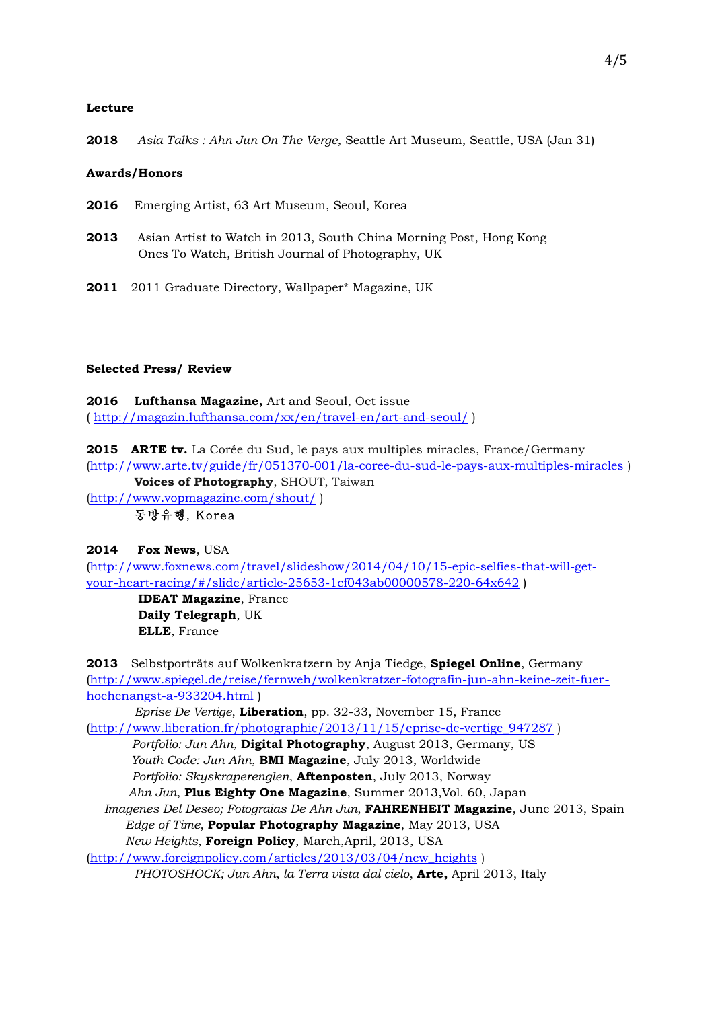### **Lecture**

**2018** *Asia Talks : Ahn Jun On The Verge*, Seattle Art Museum, Seattle, USA (Jan 31)

### **Awards/Honors**

- **2016** Emerging Artist, 63 Art Museum, Seoul, Korea
- **2013** Asian Artist to Watch in 2013, South China Morning Post, Hong Kong Ones To Watch, British Journal of Photography, UK
- **2011** 2011 Graduate Directory, Wallpaper\* Magazine, UK

# **Selected Press/ Review**

**2016 Lufthansa Magazine,** Art and Seoul, Oct issue ( http://magazin.lufthansa.com/xx/en/travel-en/art-and-seoul/ )

**2015 ARTE tv.** La Corée du Sud, le pays aux multiples miracles, France/Germany (http://www.arte.tv/guide/fr/051370-001/la-coree-du-sud-le-pays-aux-multiples-miracles )

**Voices of Photography**, SHOUT, Taiwan

(http://www.vopmagazine.com/shout/ )

동방유행, Korea

# **2014 Fox News**, USA

(http://www.foxnews.com/travel/slideshow/2014/04/10/15-epic-selfies-that-will-getyour-heart-racing/#/slide/article-25653-1cf043ab00000578-220-64x642 )

 **IDEAT Magazine**, France  **Daily Telegraph**, UK  **ELLE**, France

**2013** Selbstporträts auf Wolkenkratzern by Anja Tiedge, **Spiegel Online**, Germany (http://www.spiegel.de/reise/fernweh/wolkenkratzer-fotografin-jun-ahn-keine-zeit-fuerhoehenangst-a-933204.html ) *Eprise De Vertige*, **Liberation**, pp. 32-33, November 15, France

(http://www.liberation.fr/photographie/2013/11/15/eprise-de-vertige\_947287 ) *Portfolio: Jun Ahn,* **Digital Photography**, August 2013, Germany, US

*Youth Code: Jun Ahn*, **BMI Magazine**, July 2013, Worldwide *Portfolio: Skyskraperenglen*, **Aftenposten**, July 2013, Norway

*Ahn Jun*, **Plus Eighty One Magazine**, Summer 2013,Vol. 60, Japan

 *Imagenes Del Deseo; Fotograias De Ahn Jun*, **FAHRENHEIT Magazine**, June 2013, Spain *Edge of Time*, **Popular Photography Magazine**, May 2013, USA *New Heights*, **Foreign Policy**, March,April, 2013, USA

(http://www.foreignpolicy.com/articles/2013/03/04/new\_heights )

*PHOTOSHOCK; Jun Ahn, la Terra vista dal cielo*, **Arte,** April 2013, Italy